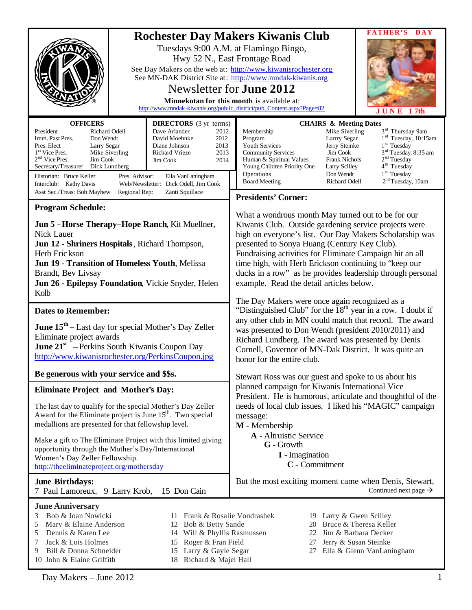|                                                                                                                                                                                                                                                                                                                                                                                                                                                                                                                                          | FATHER'S<br><b>Rochester Day Makers Kiwanis Club</b><br>Tuesdays 9:00 A.M. at Flamingo Bingo,<br>Hwy 52 N., East Frontage Road<br>See Day Makers on the web at: http://www.kiwanisrochester.org<br>See MN-DAK District Site at: http://www.mndak-kiwanis.org<br>Newsletter for <b>June 2012</b><br>Minnekotan for this month is available at:<br>http://www.mndak-kiwanis.org/public district/pub Content.aspx?Page=82<br>JUNE 17th                                                                                                                                            |  |
|------------------------------------------------------------------------------------------------------------------------------------------------------------------------------------------------------------------------------------------------------------------------------------------------------------------------------------------------------------------------------------------------------------------------------------------------------------------------------------------------------------------------------------------|--------------------------------------------------------------------------------------------------------------------------------------------------------------------------------------------------------------------------------------------------------------------------------------------------------------------------------------------------------------------------------------------------------------------------------------------------------------------------------------------------------------------------------------------------------------------------------|--|
| <b>OFFICERS</b><br><b>DIRECTORS</b> (3 yr terms)<br>Richard Odell<br>President<br>Dave Arlander<br>2012<br>Imm. Past Pres.<br>Don Wendt<br>David Moehnke<br>2012<br>Pres. Elect<br>Diane Johnson<br>2013<br>Larry Segar<br>1 <sup>st</sup> Vice Pres.<br>Mike Siverling<br><b>Richard Vrieze</b><br>2013<br>$2nd$ Vice Pres.<br>Jim Cook<br>Jim Cook<br>2014<br>Secretary/Treasurer<br>Dick Lundberg<br>Historian: Bruce Keller<br>Pres. Advisor:<br>Ella VanLaningham<br>Web/Newsletter: Dick Odell, Jim Cook<br>Interclub: Kathy Davis | <b>CHAIRS &amp; Meeting Dates</b><br>3 <sup>rd</sup> Thursday 9am<br>Membership<br>Mike Siverling<br>$1rd$ Tuesday, 10:15am<br>Program<br>Larrry Segar<br>$1st$ Tuesday<br>Youth Services<br>Jerry Steinke<br>3 <sup>rd</sup> Tuesday, 8:35 am<br><b>Community Services</b><br>Jim Cook<br>2 <sup>nd</sup> Tuesday<br><b>Frank Nichols</b><br>Human & Spiritual Values<br>4 <sup>th</sup> Tuesday<br>Young Children Priority One<br><b>Larry Scilley</b><br>$1st$ Tuesday<br>Operations<br>Don Wendt<br>2 <sup>nd</sup> Tuesday, 10am<br><b>Board Meeting</b><br>Richard Odell |  |
| Asst Sec./Treas: Bob Mayhew<br>Regional Rep:<br>Zanti Squillace                                                                                                                                                                                                                                                                                                                                                                                                                                                                          | <b>Presidents' Corner:</b>                                                                                                                                                                                                                                                                                                                                                                                                                                                                                                                                                     |  |
| <b>Program Schedule:</b><br>Jun 5 - Horse Therapy–Hope Ranch, Kit Muellner,<br>Nick Lauer<br>Jun 12 - Shriners Hospitals, Richard Thompson,<br>Herb Erickson<br>Jun 19 - Transition of Homeless Youth, Melissa<br>Brandt, Bev Livsay<br>Jun 26 - Epilepsy Foundation, Vickie Snyder, Helen<br>Kolb                                                                                                                                                                                                                                       | What a wondrous month May turned out to be for our<br>Kiwanis Club. Outside gardening service projects were<br>high on everyone's list. Our Day Makers Scholarship was<br>presented to Sonya Huang (Century Key Club).<br>Fundraising activities for Eliminate Campaign hit an all<br>time high, with Herb Erickson continuing to 'keep our<br>ducks in a row" as he provides leadership through personal<br>example. Read the detail articles below.                                                                                                                          |  |
|                                                                                                                                                                                                                                                                                                                                                                                                                                                                                                                                          | The Day Makers were once again recognized as a                                                                                                                                                                                                                                                                                                                                                                                                                                                                                                                                 |  |
| <b>Dates to Remember:</b><br><b>June <math>15th</math></b> – Last day for special Mother's Day Zeller<br>Eliminate project awards<br><b>June 21</b> <sup>st</sup> – Perkins South Kiwanis Coupon Day<br>http://www.kiwanisrochester.org/PerkinsCoupon.jpg                                                                                                                                                                                                                                                                                | "Distinguished Club" for the 18 <sup>th</sup> year in a row. I doubt if<br>any other club in MN could match that record. The award<br>was presented to Don Wendt (president 2010/2011) and<br>Richard Lundberg. The award was presented by Denis<br>Cornell, Governor of MN-Dak District. It was quite an<br>honor for the entire club.                                                                                                                                                                                                                                        |  |
| Be generous with your service and \$\$s.                                                                                                                                                                                                                                                                                                                                                                                                                                                                                                 | Stewart Ross was our guest and spoke to us about his                                                                                                                                                                                                                                                                                                                                                                                                                                                                                                                           |  |
| <b>Eliminate Project and Mother's Day:</b><br>The last day to qualify for the special Mother's Day Zeller<br>Award for the Eliminate project is June 15 <sup>th</sup> . Two special<br>medallions are presented for that fellowship level.<br>Make a gift to The Eliminate Project with this limited giving<br>opportunity through the Mother's Day/International<br>Women's Day Zeller Fellowship.<br>http://theeliminateproject.org/mothersday                                                                                         | planned campaign for Kiwanis International Vice<br>President. He is humorous, articulate and thoughtful of the<br>needs of local club issues. I liked his "MAGIC" campaign<br>message:<br>M - Membership<br>A - Altruistic Service<br>G - Growth<br><b>I</b> - Imagination<br>C - Commitment                                                                                                                                                                                                                                                                                   |  |
| <b>June Birthdays:</b><br>15 Don Cain<br>7 Paul Lamoreux, 9 Larry Krob,                                                                                                                                                                                                                                                                                                                                                                                                                                                                  | But the most exciting moment came when Denis, Stewart,<br>Continued next page $\rightarrow$                                                                                                                                                                                                                                                                                                                                                                                                                                                                                    |  |
| <b>June Anniversary</b><br>Bob & Joan Nowicki<br>3<br>11.<br>Marv & Elaine Anderson<br>Bob & Betty Sande<br>5<br>12<br>Dennis & Karen Lee<br>14 Will & Phyllis Rasmussen<br>5<br>Roger & Fran Field<br>Jack & Lois Holmes<br>7<br>15<br>Larry & Gayle Segar<br>Bill & Donna Schneider<br>9<br>15<br>10 John & Elaine Griffith<br>Richard & Majel Hall<br>18                                                                                                                                                                              | 19 Larry & Gwen Scilley<br>Frank & Rosalie Vondrashek<br>Bruce & Theresa Keller<br>20<br>22 Jim & Barbara Decker<br>Jerry & Susan Steinke<br>27<br>27 Ella & Glenn VanLaningham                                                                                                                                                                                                                                                                                                                                                                                                |  |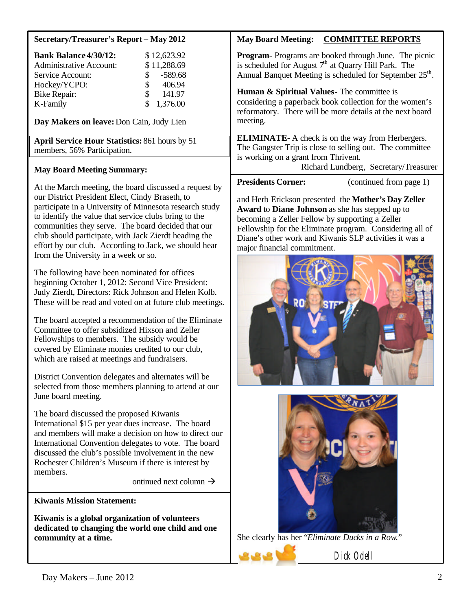### **Secretary/Treasurer's Report – May 2012**

| <b>Bank Balance 4/30/12:</b>   |               | \$12,623.92 |
|--------------------------------|---------------|-------------|
| <b>Administrative Account:</b> |               | \$11,288.69 |
| Service Account:               | $\mathcal{S}$ | -589.68     |
| Hockey/YCPO:                   | S.            | 406.94      |
| <b>Bike Repair:</b>            | \$            | 141.97      |
| K-Family                       |               | \$1,376.00  |

**Day Makers on leave:**Don Cain, Judy Lien

**April Service Hour Statistics:** 861 hours by 51 members, 56% Participation.

## **May Board Meeting Summary:**

At the March meeting, the board discussed a request by our District President Elect, Cindy Braseth, to participate in a University of Minnesota research study to identify the value that service clubs bring to the communities they serve. The board decided that our club should participate, with Jack Zierdt heading the effort by our club. According to Jack, we should hear from the University in a week or so.

The following have been nominated for offices beginning October 1, 2012: Second Vice President: Judy Zierdt, Directors: Rick Johnson and Helen Kolb. These will be read and voted on at future club meetings.

The board accepted a recommendation of the Eliminate Committee to offer subsidized Hixson and Zeller Fellowships to members. The subsidy would be covered by Eliminate monies credited to our club, which are raised at meetings and fundraisers.

District Convention delegates and alternates will be selected from those members planning to attend at our June board meeting.

The board discussed the proposed Kiwanis International \$15 per year dues increase. The board and members will make a decision on how to direct our International Convention delegates to vote. The board discussed the club's possible involvement in the new Rochester Children's Museum if there is interest by members.

ontinued next column  $\rightarrow$ 

**Kiwanis Mission Statement:**

**Kiwanis is a global organization of volunteers dedicated to changing the world one child and one community at a time.**

# **May Board Meeting: COMMITTEE REPORTS**

**Program-** Programs are booked through June.The picnic is scheduled for August  $7<sup>th</sup>$  at Quarry Hill Park. The Annual Banquet Meeting is scheduled for September 25<sup>th</sup>.

**Human & Spiritual Values-** The committee is considering a paperback book collection for the women's reformatory. There will be more details at the next board meeting.

**ELIMINATE-** A check is on the way from Herbergers. The Gangster Trip is close to selling out. The committee is working on a grant from Thrivent.

Richard Lundberg, Secretary/Treasurer

**Presidents Corner:** (continued from page 1)

and Herb Erickson presented the **Mother's Day Zeller Award** to **Diane Johnson** as she has stepped up to becoming a Zeller Fellow by supporting a Zeller Fellowship for the Eliminate program. Considering all of Diane's other work and Kiwanis SLP activities it was a major financial commitment.





She clearly has her "*Eliminate Ducks in a Row.*"

Dick Odell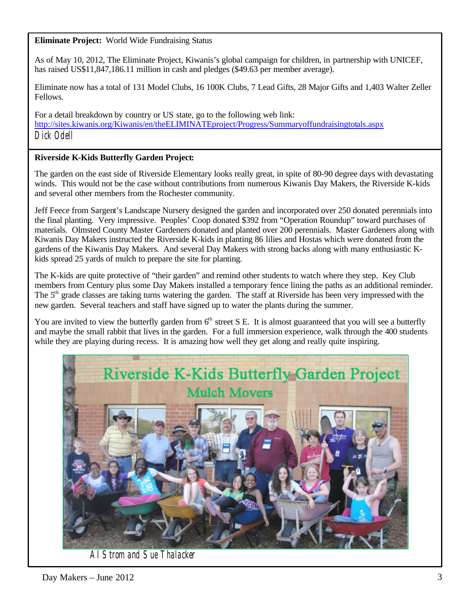**Eliminate Project:** World Wide Fundraising Status

As of May 10, 2012, The Eliminate Project, Kiwanis's global campaign for children, in partnership with UNICEF, has raised US\$11,847,186.11 million in cash and pledges (\$49.63 per member average).

Eliminate now has a total of 131 Model Clubs, 16 100K Clubs, 7 Lead Gifts, 28 Major Gifts and 1,403 Walter Zeller Fellows.

For a detail breakdown by country or US state, go to the following web link: <http://sites.kiwanis.org/Kiwanis/en/theELIMINATEproject/Progress/Summaryoffundraisingtotals.aspx> Dick Odell

## **Riverside K-Kids Butterfly Garden Project:**

The garden on the east side of Riverside Elementary looks really great, in spite of 80-90 degree days with devastating winds. This would not be the case without contributions from numerous Kiwanis Day Makers, the Riverside K-kids and several other members from the Rochester community.

Jeff Feece from Sargent's Landscape Nursery designed the garden and incorporated over 250 donated perennials into the final planting. Very impressive. Peoples' Coop donated \$392 from "Operation Roundup" toward purchases of materials. Olmsted County Master Gardeners donated and planted over 200 perennials. Master Gardeners along with Kiwanis Day Makers instructed the Riverside K-kids in planting 86 lilies and Hostas which were donated from the gardens of the Kiwanis Day Makers. And several Day Makers with strong backs along with many enthusiastic Kkids spread 25 yards of mulch to prepare the site for planting.

The K-kids are quite protective of "their garden" and remind other students to watch where they step. Key Club members from Century plus some Day Makers installed a temporary fence lining the paths as an additional reminder. The 5<sup>th</sup> grade classes are taking turns watering the garden. The staff at Riverside has been very impressed with the new garden. Several teachers and staff have signed up to water the plants during the summer.

You are invited to view the butterfly garden from  $6<sup>th</sup>$  street S E. It is almost guaranteed that you will see a butterfly and maybe the small rabbit that lives in the garden. For a full immersion experience, walk through the 400 students while they are playing during recess. It is amazing how well they get along and really quite inspiring.



Al Strom and Sue Thalacker